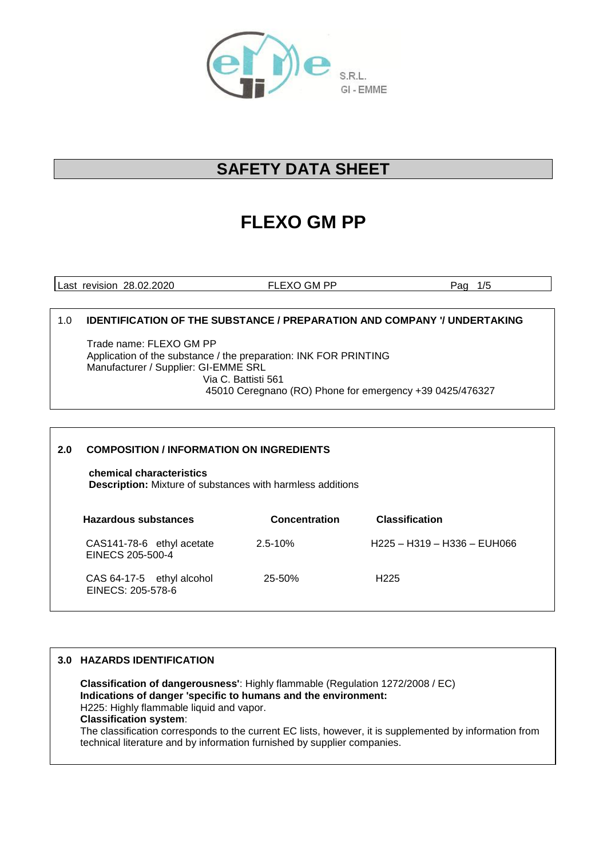

## **SAFETY DATA SHEET**

# **FLEXO GM PP**

Last revision 28.02.2020 FLEXO GM PP Pag 1/5

## 1.0 **IDENTIFICATION OF THE SUBSTANCE / PREPARATION AND COMPANY '/ UNDERTAKING**

Trade name: FLEXO GM PP Application of the substance / the preparation: INK FOR PRINTING Manufacturer / Supplier: GI-EMME SRL Via C. Battisti 561 45010 Ceregnano (RO) Phone for emergency +39 0425/476327

## **2.0 COMPOSITION / INFORMATION ON INGREDIENTS**

 **chemical characteristics Description:** Mixture of substances with harmless additions

| Hazardous substances                           | <b>Concentration</b> | <b>Classification</b>       |
|------------------------------------------------|----------------------|-----------------------------|
| CAS141-78-6 ethyl acetate<br>EINECS 205-500-4  | $2.5 - 10%$          | H225 - H319 - H336 - EUH066 |
| CAS 64-17-5 ethyl alcohol<br>EINECS: 205-578-6 | $25 - 50%$           | H <sub>225</sub>            |

## **3.0 HAZARDS IDENTIFICATION**

 **Classification of dangerousness'**: Highly flammable (Regulation 1272/2008 / EC) **Indications of danger 'specific to humans and the environment:** H225: Highly flammable liquid and vapor. **Classification system**: The classification corresponds to the current EC lists, however, it is supplemented by information from technical literature and by information furnished by supplier companies.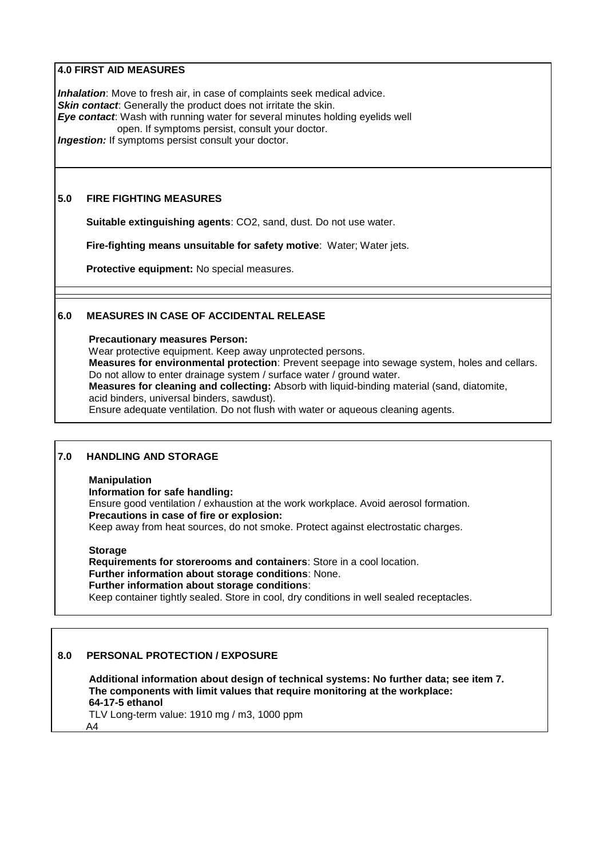## **4.0 FIRST AID MEASURES**

*Inhalation*: Move to fresh air, in case of complaints seek medical advice. **Skin contact:** Generally the product does not irritate the skin. *Eye contact*: Wash with running water for several minutes holding eyelids well open. If symptoms persist, consult your doctor. *Ingestion:* If symptoms persist consult your doctor.

## **5.0 FIRE FIGHTING MEASURES**

**Suitable extinguishing agents**: CO2, sand, dust. Do not use water.

**Fire-fighting means unsuitable for safety motive**: Water; Water jets.

**Protective equipment:** No special measures.

## **6.0 MEASURES IN CASE OF ACCIDENTAL RELEASE**

#### **Precautionary measures Person:**

 Wear protective equipment. Keep away unprotected persons. **Measures for environmental protection**: Prevent seepage into sewage system, holes and cellars. Do not allow to enter drainage system / surface water / ground water.

 **Measures for cleaning and collecting:** Absorb with liquid-binding material (sand, diatomite, acid binders, universal binders, sawdust).

Ensure adequate ventilation. Do not flush with water or aqueous cleaning agents.

## **7.0 HANDLING AND STORAGE**

#### **Manipulation**

**Information for safe handling:**

 Ensure good ventilation / exhaustion at the work workplace. Avoid aerosol formation. **Precautions in case of fire or explosion:** Keep away from heat sources, do not smoke. Protect against electrostatic charges.

**Storage**

 **Requirements for storerooms and containers**: Store in a cool location. **Further information about storage conditions**: None. **Further information about storage conditions**: Keep container tightly sealed. Store in cool, dry conditions in well sealed receptacles.

## **8.0 PERSONAL PROTECTION / EXPOSURE**

 **Additional information about design of technical systems: No further data; see item 7. The components with limit values that require monitoring at the workplace: 64-17-5 ethanol**

 TLV Long-term value: 1910 mg / m3, 1000 ppm A4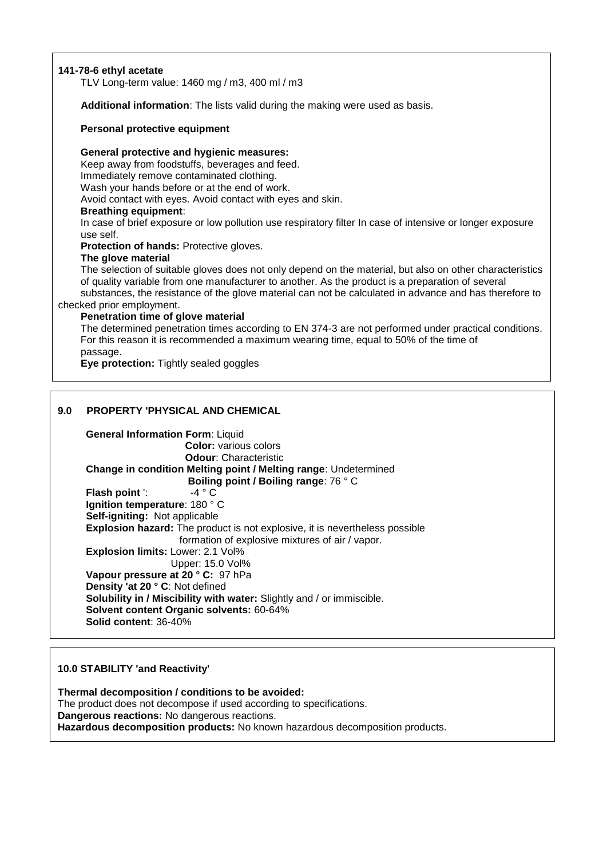## **141-78-6 ethyl acetate**

TLV Long-term value: 1460 mg / m3, 400 ml / m3

**Additional information**: The lists valid during the making were used as basis.

#### **Personal protective equipment**

**General protective and hygienic measures:**

 Keep away from foodstuffs, beverages and feed. Immediately remove contaminated clothing. Wash your hands before or at the end of work.

Avoid contact with eyes. Avoid contact with eyes and skin.

#### **Breathing equipment**:

 In case of brief exposure or low pollution use respiratory filter In case of intensive or longer exposure use self.

 **Protection of hands:** Protective gloves.

#### **The glove material**

 The selection of suitable gloves does not only depend on the material, but also on other characteristics of quality variable from one manufacturer to another. As the product is a preparation of several substances, the resistance of the glove material can not be calculated in advance and has therefore to checked prior employment.

#### **Penetration time of glove material**

 The determined penetration times according to EN 374-3 are not performed under practical conditions. For this reason it is recommended a maximum wearing time, equal to 50% of the time of passage.

**Eve protection:** Tightly sealed goggles

## **9.0 PROPERTY 'PHYSICAL AND CHEMICAL**

 **General Information Form**: Liquid **Color:** various colors **Odour**: Characteristic **Change in condition Melting point / Melting range**: Undetermined **Boiling point / Boiling range**: 76 ° C **Flash point** ':  $-4 \degree C$  **Ignition temperature**: 180 ° C **Self-igniting:** Not applicable **Explosion hazard:** The product is not explosive, it is nevertheless possible formation of explosive mixtures of air / vapor. **Explosion limits:** Lower: 2.1 Vol% Upper: 15.0 Vol% **Vapour pressure at 20 ° C:** 97 hPa **Density 'at 20 ° C**: Not defined **Solubility in / Miscibility with water:** Slightly and / or immiscible. **Solvent content Organic solvents:** 60-64% **Solid content**: 36-40%

#### **10.0 STABILITY 'and Reactivity'**

**Thermal decomposition / conditions to be avoided:** The product does not decompose if used according to specifications. **Dangerous reactions:** No dangerous reactions. **Hazardous decomposition products:** No known hazardous decomposition products.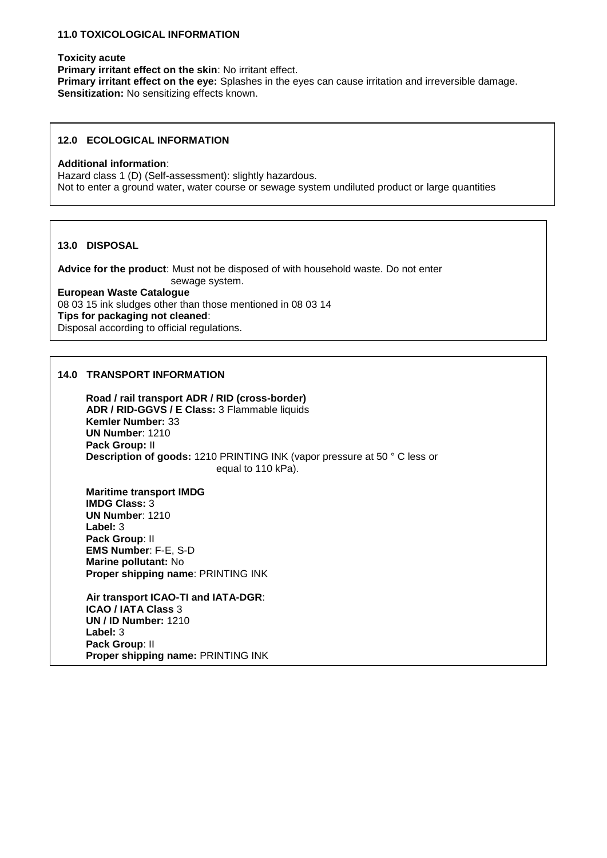#### **11.0 TOXICOLOGICAL INFORMATION**

#### **Toxicity acute**

**Primary irritant effect on the skin**: No irritant effect. **Primary irritant effect on the eye:** Splashes in the eyes can cause irritation and irreversible damage. **Sensitization:** No sensitizing effects known.

## **12.0 ECOLOGICAL INFORMATION**

#### **Additional information**:

Hazard class 1 (D) (Self-assessment): slightly hazardous. Not to enter a ground water, water course or sewage system undiluted product or large quantities

#### **13.0 DISPOSAL**

**Advice for the product**: Must not be disposed of with household waste. Do not enter sewage system.

**European Waste Catalogue** 08 03 15 ink sludges other than those mentioned in 08 03 14 **Tips for packaging not cleaned**: Disposal according to official regulations.

## **14.0 TRANSPORT INFORMATION**

 **Road / rail transport ADR / RID (cross-border) ADR / RID-GGVS / E Class:** 3 Flammable liquids **Kemler Number:** 33 **UN Number**: 1210 **Pack Group:** II **Description of goods:** 1210 PRINTING INK (vapor pressure at 50 ° C less or equal to 110 kPa).

 **Maritime transport IMDG IMDG Class:** 3 **UN Number**: 1210 **Label:** 3 **Pack Group**: II **EMS Number**: F-E, S-D **Marine pollutant:** No **Proper shipping name**: PRINTING INK

 **Air transport ICAO-TI and IATA-DGR**: **ICAO / IATA Class** 3 **UN / ID Number:** 1210 **Label:** 3 **Pack Group**: II **Proper shipping name:** PRINTING INK